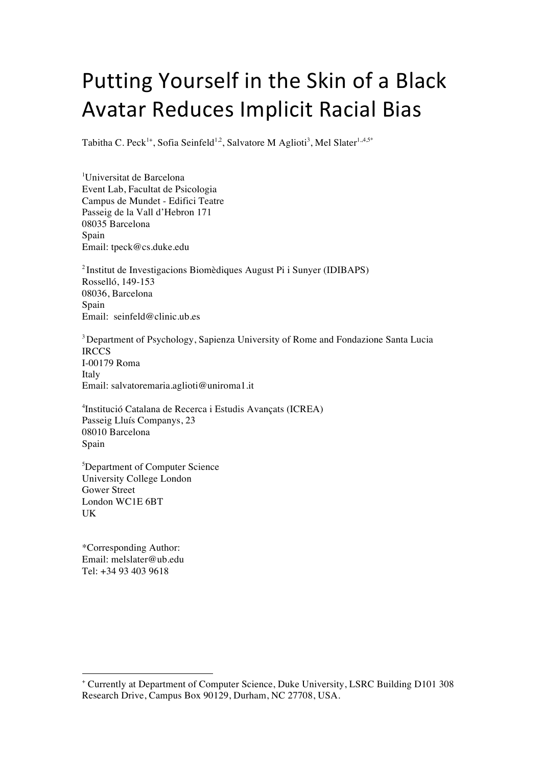# Putting Yourself in the Skin of a Black Avatar Reduces Implicit Racial Bias

Tabitha C. Peck<sup>1+</sup>, Sofia Seinfeld<sup>1,2</sup>, Salvatore M Aglioti<sup>3</sup>, Mel Slater<sup>1,,4,5\*</sup>

1 Universitat de Barcelona Event Lab, Facultat de Psicologia Campus de Mundet - Edifici Teatre Passeig de la Vall d'Hebron 171 08035 Barcelona Spain Email: tpeck@cs.duke.edu

2 Institut de Investigacions Biomèdiques August Pi i Sunyer (IDIBAPS) Rosselló, 149-153 08036, Barcelona Spain Email: seinfeld@clinic.ub.es

<sup>3</sup> Department of Psychology, Sapienza University of Rome and Fondazione Santa Lucia **IRCCS** I-00179 Roma Italy Email: salvatoremaria.aglioti@uniroma1.it

4 Institució Catalana de Recerca i Estudis Avançats (ICREA) Passeig Lluís Companys, 23 08010 Barcelona Spain

5 Department of Computer Science University College London Gower Street London WC1E 6BT UK

\*Corresponding Author: Email: melslater@ub.edu Tel: +34 93 403 9618

 <sup>+</sup> Currently at Department of Computer Science, Duke University, LSRC Building D101 308 Research Drive, Campus Box 90129, Durham, NC 27708, USA.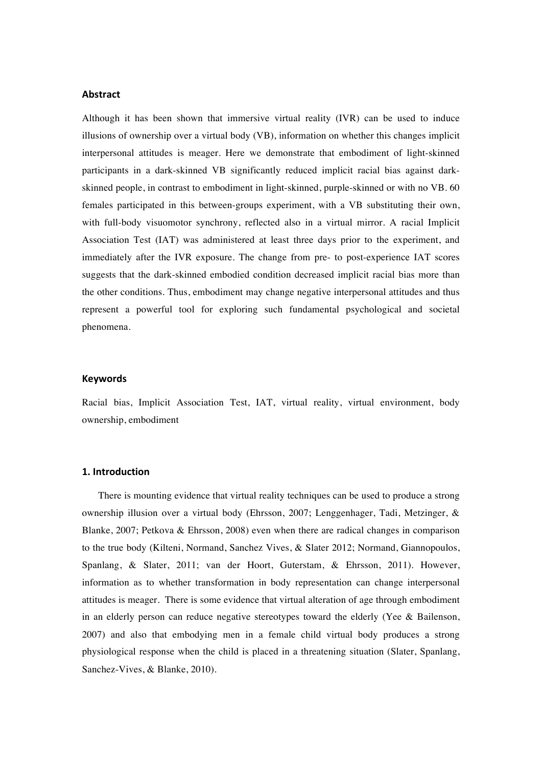## **Abstract**

Although it has been shown that immersive virtual reality (IVR) can be used to induce illusions of ownership over a virtual body (VB), information on whether this changes implicit interpersonal attitudes is meager. Here we demonstrate that embodiment of light-skinned participants in a dark-skinned VB significantly reduced implicit racial bias against darkskinned people, in contrast to embodiment in light-skinned, purple-skinned or with no VB. 60 females participated in this between-groups experiment, with a VB substituting their own, with full-body visuomotor synchrony, reflected also in a virtual mirror. A racial Implicit Association Test (IAT) was administered at least three days prior to the experiment, and immediately after the IVR exposure. The change from pre- to post-experience IAT scores suggests that the dark-skinned embodied condition decreased implicit racial bias more than the other conditions. Thus, embodiment may change negative interpersonal attitudes and thus represent a powerful tool for exploring such fundamental psychological and societal phenomena.

#### **Keywords**

Racial bias, Implicit Association Test, IAT, virtual reality, virtual environment, body ownership, embodiment

#### **1. Introduction**

There is mounting evidence that virtual reality techniques can be used to produce a strong ownership illusion over a virtual body (Ehrsson, 2007; Lenggenhager, Tadi, Metzinger, & Blanke, 2007; Petkova & Ehrsson, 2008) even when there are radical changes in comparison to the true body (Kilteni, Normand, Sanchez Vives, & Slater 2012; Normand, Giannopoulos, Spanlang, & Slater, 2011; van der Hoort, Guterstam, & Ehrsson, 2011). However, information as to whether transformation in body representation can change interpersonal attitudes is meager. There is some evidence that virtual alteration of age through embodiment in an elderly person can reduce negative stereotypes toward the elderly (Yee & Bailenson, 2007) and also that embodying men in a female child virtual body produces a strong physiological response when the child is placed in a threatening situation (Slater, Spanlang, Sanchez-Vives, & Blanke, 2010).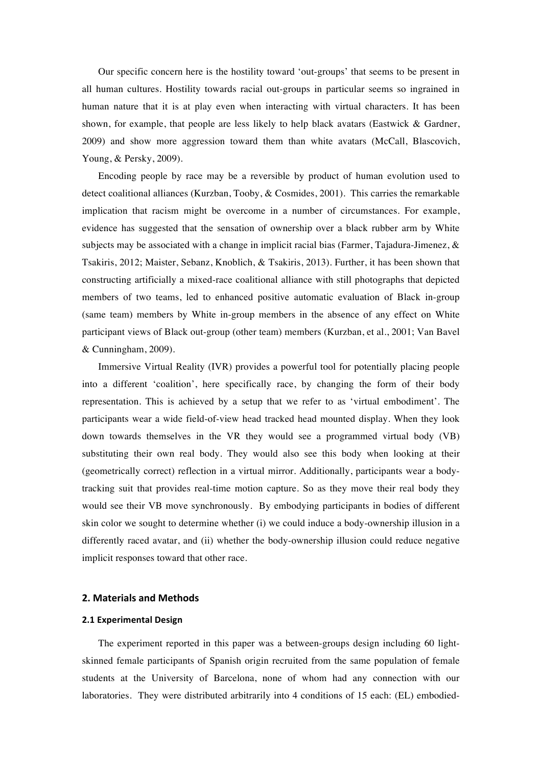Our specific concern here is the hostility toward 'out-groups' that seems to be present in all human cultures. Hostility towards racial out-groups in particular seems so ingrained in human nature that it is at play even when interacting with virtual characters. It has been shown, for example, that people are less likely to help black avatars (Eastwick & Gardner, 2009) and show more aggression toward them than white avatars (McCall, Blascovich, Young, & Persky, 2009).

Encoding people by race may be a reversible by product of human evolution used to detect coalitional alliances (Kurzban, Tooby, & Cosmides, 2001). This carries the remarkable implication that racism might be overcome in a number of circumstances. For example, evidence has suggested that the sensation of ownership over a black rubber arm by White subjects may be associated with a change in implicit racial bias (Farmer, Tajadura-Jimenez,  $\&$ Tsakiris, 2012; Maister, Sebanz, Knoblich, & Tsakiris, 2013). Further, it has been shown that constructing artificially a mixed-race coalitional alliance with still photographs that depicted members of two teams, led to enhanced positive automatic evaluation of Black in-group (same team) members by White in-group members in the absence of any effect on White participant views of Black out-group (other team) members (Kurzban, et al., 2001; Van Bavel & Cunningham, 2009).

Immersive Virtual Reality (IVR) provides a powerful tool for potentially placing people into a different 'coalition', here specifically race, by changing the form of their body representation. This is achieved by a setup that we refer to as 'virtual embodiment'. The participants wear a wide field-of-view head tracked head mounted display. When they look down towards themselves in the VR they would see a programmed virtual body (VB) substituting their own real body. They would also see this body when looking at their (geometrically correct) reflection in a virtual mirror. Additionally, participants wear a bodytracking suit that provides real-time motion capture. So as they move their real body they would see their VB move synchronously. By embodying participants in bodies of different skin color we sought to determine whether (i) we could induce a body-ownership illusion in a differently raced avatar, and (ii) whether the body-ownership illusion could reduce negative implicit responses toward that other race.

#### **2. Materials and Methods**

### **2.1 Experimental Design**

The experiment reported in this paper was a between-groups design including 60 lightskinned female participants of Spanish origin recruited from the same population of female students at the University of Barcelona, none of whom had any connection with our laboratories. They were distributed arbitrarily into 4 conditions of 15 each: (EL) embodied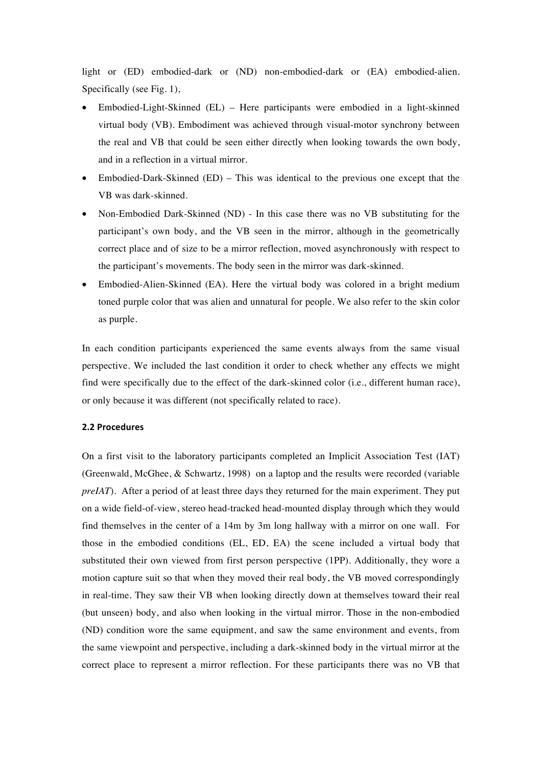light or (ED) embodied-dark or (ND) non-embodied-dark or (EA) embodied-alien. Specifically (see Fig. 1),

- Embodied-Light-Skinned (EL) Here participants were embodied in a light-skinned virtual body (VB). Embodiment was achieved through visual-motor synchrony between the real and VB that could be seen either directly when looking towards the own body, and in a reflection in a virtual mirror.
- Embodied-Dark-Skinned (ED) This was identical to the previous one except that the VB was dark-skinned.
- Non-Embodied Dark-Skinned (ND) In this case there was no VB substituting for the participant's own body, and the VB seen in the mirror, although in the geometrically correct place and of size to be a mirror reflection, moved asynchronously with respect to the participant's movements. The body seen in the mirror was dark-skinned.
- Embodied-Alien-Skinned (EA). Here the virtual body was colored in a bright medium toned purple color that was alien and unnatural for people. We also refer to the skin color as purple.

In each condition participants experienced the same events always from the same visual perspective. We included the last condition it order to check whether any effects we might find were specifically due to the effect of the dark-skinned color (i.e., different human race), or only because it was different (not specifically related to race).

#### **2.2 Procedures**

On a first visit to the laboratory participants completed an Implicit Association Test (IAT) (Greenwald, McGhee, & Schwartz, 1998) on a laptop and the results were recorded (variable *preIAT*). After a period of at least three days they returned for the main experiment. They put on a wide field-of-view, stereo head-tracked head-mounted display through which they would find themselves in the center of a 14m by 3m long hallway with a mirror on one wall. For those in the embodied conditions (EL, ED, EA) the scene included a virtual body that substituted their own viewed from first person perspective (1PP). Additionally, they wore a motion capture suit so that when they moved their real body, the VB moved correspondingly in real-time. They saw their VB when looking directly down at themselves toward their real (but unseen) body, and also when looking in the virtual mirror. Those in the non-embodied (ND) condition wore the same equipment, and saw the same environment and events, from the same viewpoint and perspective, including a dark-skinned body in the virtual mirror at the correct place to represent a mirror reflection. For these participants there was no VB that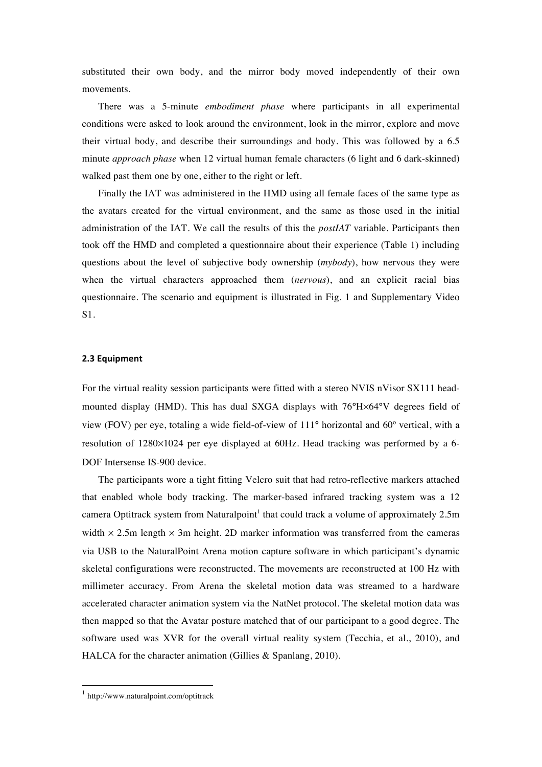substituted their own body, and the mirror body moved independently of their own movements.

There was a 5-minute *embodiment phase* where participants in all experimental conditions were asked to look around the environment, look in the mirror, explore and move their virtual body, and describe their surroundings and body. This was followed by a 6.5 minute *approach phase* when 12 virtual human female characters (6 light and 6 dark-skinned) walked past them one by one, either to the right or left.

Finally the IAT was administered in the HMD using all female faces of the same type as the avatars created for the virtual environment, and the same as those used in the initial administration of the IAT. We call the results of this the *postIAT* variable. Participants then took off the HMD and completed a questionnaire about their experience (Table 1) including questions about the level of subjective body ownership (*mybody*), how nervous they were when the virtual characters approached them (*nervous*), and an explicit racial bias questionnaire. The scenario and equipment is illustrated in Fig. 1 and Supplementary Video S1.

#### **2.3 Equipment**

For the virtual reality session participants were fitted with a stereo NVIS nVisor SX111 headmounted display (HMD). This has dual SXGA displays with 76**°**H×64**°**V degrees field of view (FOV) per eye, totaling a wide field-of-view of 111**°** horizontal and 60º vertical, with a resolution of 1280×1024 per eye displayed at 60Hz. Head tracking was performed by a 6- DOF Intersense IS-900 device.

The participants wore a tight fitting Velcro suit that had retro-reflective markers attached that enabled whole body tracking. The marker-based infrared tracking system was a 12 camera Optitrack system from Naturalpoint<sup>1</sup> that could track a volume of approximately 2.5m width  $\times$  2.5m length  $\times$  3m height. 2D marker information was transferred from the cameras via USB to the NaturalPoint Arena motion capture software in which participant's dynamic skeletal configurations were reconstructed. The movements are reconstructed at 100 Hz with millimeter accuracy. From Arena the skeletal motion data was streamed to a hardware accelerated character animation system via the NatNet protocol. The skeletal motion data was then mapped so that the Avatar posture matched that of our participant to a good degree. The software used was XVR for the overall virtual reality system (Tecchia, et al., 2010), and HALCA for the character animation (Gillies & Spanlang, 2010).

<sup>&</sup>lt;sup>1</sup> http://www.naturalpoint.com/optitrack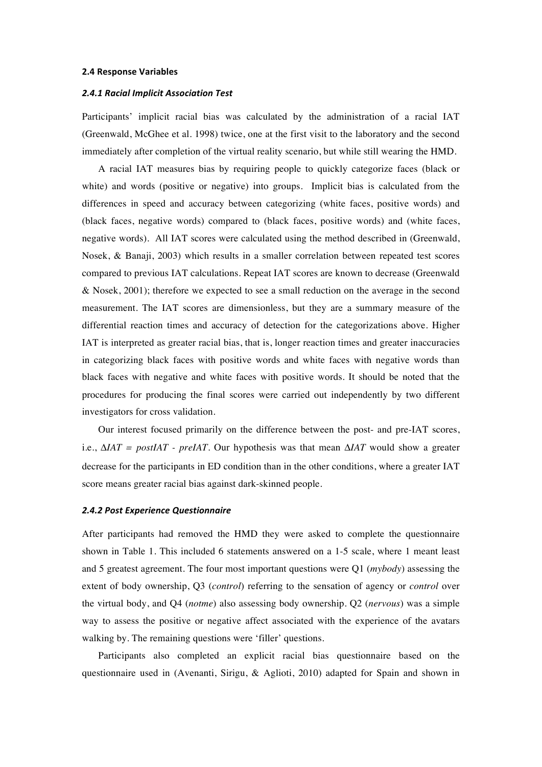#### **2.4 Response Variables**

#### *2.4.1 Racial Implicit Association Test*

Participants' implicit racial bias was calculated by the administration of a racial IAT (Greenwald, McGhee et al. 1998) twice, one at the first visit to the laboratory and the second immediately after completion of the virtual reality scenario, but while still wearing the HMD.

A racial IAT measures bias by requiring people to quickly categorize faces (black or white) and words (positive or negative) into groups. Implicit bias is calculated from the differences in speed and accuracy between categorizing (white faces, positive words) and (black faces, negative words) compared to (black faces, positive words) and (white faces, negative words). All IAT scores were calculated using the method described in (Greenwald, Nosek, & Banaji, 2003) which results in a smaller correlation between repeated test scores compared to previous IAT calculations. Repeat IAT scores are known to decrease (Greenwald & Nosek, 2001); therefore we expected to see a small reduction on the average in the second measurement. The IAT scores are dimensionless, but they are a summary measure of the differential reaction times and accuracy of detection for the categorizations above. Higher IAT is interpreted as greater racial bias, that is, longer reaction times and greater inaccuracies in categorizing black faces with positive words and white faces with negative words than black faces with negative and white faces with positive words. It should be noted that the procedures for producing the final scores were carried out independently by two different investigators for cross validation.

Our interest focused primarily on the difference between the post- and pre-IAT scores, i.e., Δ*IAT = postIAT - preIAT*. Our hypothesis was that mean Δ*IAT* would show a greater decrease for the participants in ED condition than in the other conditions, where a greater IAT score means greater racial bias against dark-skinned people.

#### *2.4.2 Post Experience Questionnaire*

After participants had removed the HMD they were asked to complete the questionnaire shown in Table 1. This included 6 statements answered on a 1-5 scale, where 1 meant least and 5 greatest agreement. The four most important questions were Q1 (*mybody*) assessing the extent of body ownership, Q3 (*control*) referring to the sensation of agency or *control* over the virtual body, and Q4 (*notme*) also assessing body ownership. Q2 (*nervous*) was a simple way to assess the positive or negative affect associated with the experience of the avatars walking by. The remaining questions were 'filler' questions.

Participants also completed an explicit racial bias questionnaire based on the questionnaire used in (Avenanti, Sirigu, & Aglioti, 2010) adapted for Spain and shown in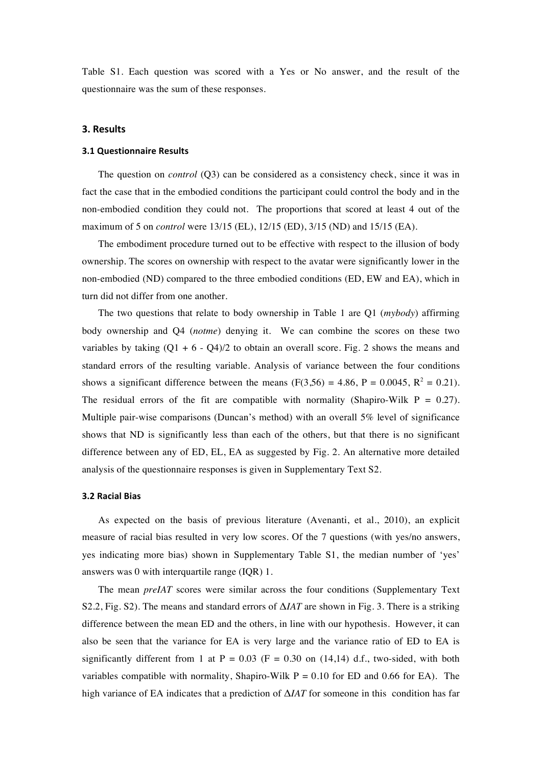Table S1. Each question was scored with a Yes or No answer, and the result of the questionnaire was the sum of these responses.

## **3. Results**

#### **3.1 Questionnaire Results**

The question on *control* (Q3) can be considered as a consistency check, since it was in fact the case that in the embodied conditions the participant could control the body and in the non-embodied condition they could not. The proportions that scored at least 4 out of the maximum of 5 on *control* were 13/15 (EL), 12/15 (ED), 3/15 (ND) and 15/15 (EA).

The embodiment procedure turned out to be effective with respect to the illusion of body ownership. The scores on ownership with respect to the avatar were significantly lower in the non-embodied (ND) compared to the three embodied conditions (ED, EW and EA), which in turn did not differ from one another.

The two questions that relate to body ownership in Table 1 are Q1 (*mybody*) affirming body ownership and Q4 (*notme*) denying it. We can combine the scores on these two variables by taking  $(Q1 + 6 - Q4)/2$  to obtain an overall score. Fig. 2 shows the means and standard errors of the resulting variable. Analysis of variance between the four conditions shows a significant difference between the means  $(F(3,56) = 4.86, P = 0.0045, R^2 = 0.21)$ . The residual errors of the fit are compatible with normality (Shapiro-Wilk  $P = 0.27$ ). Multiple pair-wise comparisons (Duncan's method) with an overall 5% level of significance shows that ND is significantly less than each of the others, but that there is no significant difference between any of ED, EL, EA as suggested by Fig. 2. An alternative more detailed analysis of the questionnaire responses is given in Supplementary Text S2.

#### **3.2 Racial Bias**

As expected on the basis of previous literature (Avenanti, et al., 2010), an explicit measure of racial bias resulted in very low scores. Of the 7 questions (with yes/no answers, yes indicating more bias) shown in Supplementary Table S1, the median number of 'yes' answers was 0 with interquartile range (IQR) 1.

The mean *preIAT* scores were similar across the four conditions (Supplementary Text S2.2, Fig. S2). The means and standard errors of Δ*IAT* are shown in Fig. 3. There is a striking difference between the mean ED and the others, in line with our hypothesis. However, it can also be seen that the variance for EA is very large and the variance ratio of ED to EA is significantly different from 1 at  $P = 0.03$  (F = 0.30 on (14,14) d.f., two-sided, with both variables compatible with normality, Shapiro-Wilk  $P = 0.10$  for ED and 0.66 for EA). The high variance of EA indicates that a prediction of Δ*IAT* for someone in this condition has far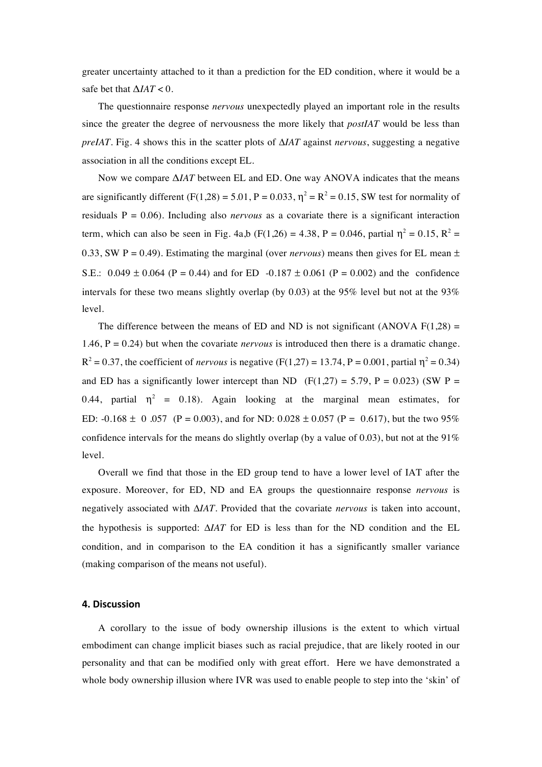greater uncertainty attached to it than a prediction for the ED condition, where it would be a safe bet that  $\Delta IAT < 0$ .

The questionnaire response *nervous* unexpectedly played an important role in the results since the greater the degree of nervousness the more likely that *postIAT* would be less than *preIAT*. Fig. 4 shows this in the scatter plots of Δ*IAT* against *nervous*, suggesting a negative association in all the conditions except EL.

Now we compare Δ*IAT* between EL and ED. One way ANOVA indicates that the means are significantly different  $(F(1,28) = 5.01, P = 0.033, \eta^2 = R^2 = 0.15$ , SW test for normality of residuals  $P = 0.06$ ). Including also *nervous* as a covariate there is a significant interaction term, which can also be seen in Fig. 4a,b (F(1,26) = 4.38, P = 0.046, partial  $\eta^2 = 0.15$ , R<sup>2</sup> = 0.33, SW P = 0.49). Estimating the marginal (over *nervous*) means then gives for EL mean  $\pm$ S.E.:  $0.049 \pm 0.064$  (P = 0.44) and for ED -0.187  $\pm 0.061$  (P = 0.002) and the confidence intervals for these two means slightly overlap (by 0.03) at the 95% level but not at the 93% level.

The difference between the means of ED and ND is not significant (ANOVA  $F(1,28) =$ 1.46,  $P = 0.24$ ) but when the covariate *nervous* is introduced then there is a dramatic change.  $R^2 = 0.37$ , the coefficient of *nervous* is negative (F(1,27) = 13.74, P = 0.001, partial  $\eta^2 = 0.34$ ) and ED has a significantly lower intercept than ND (F(1,27) = 5.79, P = 0.023) (SW P = 0.44, partial  $\eta^2$  = 0.18). Again looking at the marginal mean estimates, for ED:  $-0.168 \pm 0.057$  (P = 0.003), and for ND: 0.028  $\pm$  0.057 (P = 0.617), but the two 95% confidence intervals for the means do slightly overlap (by a value of 0.03), but not at the  $91\%$ level.

Overall we find that those in the ED group tend to have a lower level of IAT after the exposure. Moreover, for ED, ND and EA groups the questionnaire response *nervous* is negatively associated with Δ*IAT*. Provided that the covariate *nervous* is taken into account, the hypothesis is supported: Δ*IAT* for ED is less than for the ND condition and the EL condition, and in comparison to the EA condition it has a significantly smaller variance (making comparison of the means not useful).

#### **4. Discussion**

A corollary to the issue of body ownership illusions is the extent to which virtual embodiment can change implicit biases such as racial prejudice, that are likely rooted in our personality and that can be modified only with great effort. Here we have demonstrated a whole body ownership illusion where IVR was used to enable people to step into the 'skin' of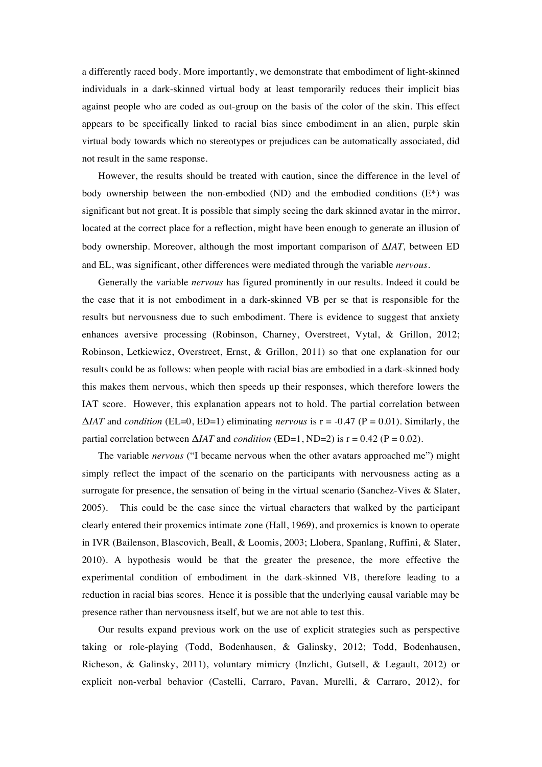a differently raced body. More importantly, we demonstrate that embodiment of light-skinned individuals in a dark-skinned virtual body at least temporarily reduces their implicit bias against people who are coded as out-group on the basis of the color of the skin. This effect appears to be specifically linked to racial bias since embodiment in an alien, purple skin virtual body towards which no stereotypes or prejudices can be automatically associated, did not result in the same response.

However, the results should be treated with caution, since the difference in the level of body ownership between the non-embodied (ND) and the embodied conditions  $(E^*)$  was significant but not great. It is possible that simply seeing the dark skinned avatar in the mirror, located at the correct place for a reflection, might have been enough to generate an illusion of body ownership. Moreover, although the most important comparison of Δ*IAT,* between ED and EL, was significant, other differences were mediated through the variable *nervous*.

Generally the variable *nervous* has figured prominently in our results. Indeed it could be the case that it is not embodiment in a dark-skinned VB per se that is responsible for the results but nervousness due to such embodiment. There is evidence to suggest that anxiety enhances aversive processing (Robinson, Charney, Overstreet, Vytal, & Grillon, 2012; Robinson, Letkiewicz, Overstreet, Ernst, & Grillon, 2011) so that one explanation for our results could be as follows: when people with racial bias are embodied in a dark-skinned body this makes them nervous, which then speeds up their responses, which therefore lowers the IAT score. However, this explanation appears not to hold. The partial correlation between  $\Delta IAT$  and *condition* (EL=0, ED=1) eliminating *nervous* is  $r = -0.47$  (P = 0.01). Similarly, the partial correlation between  $\Delta IAT$  and *condition* (ED=1, ND=2) is  $r = 0.42$  (P = 0.02).

The variable *nervous* ("I became nervous when the other avatars approached me") might simply reflect the impact of the scenario on the participants with nervousness acting as a surrogate for presence, the sensation of being in the virtual scenario (Sanchez-Vives & Slater, 2005). This could be the case since the virtual characters that walked by the participant clearly entered their proxemics intimate zone (Hall, 1969), and proxemics is known to operate in IVR (Bailenson, Blascovich, Beall, & Loomis, 2003; Llobera, Spanlang, Ruffini, & Slater, 2010). A hypothesis would be that the greater the presence, the more effective the experimental condition of embodiment in the dark-skinned VB, therefore leading to a reduction in racial bias scores. Hence it is possible that the underlying causal variable may be presence rather than nervousness itself, but we are not able to test this.

Our results expand previous work on the use of explicit strategies such as perspective taking or role-playing (Todd, Bodenhausen, & Galinsky, 2012; Todd, Bodenhausen, Richeson, & Galinsky, 2011), voluntary mimicry (Inzlicht, Gutsell, & Legault, 2012) or explicit non-verbal behavior (Castelli, Carraro, Pavan, Murelli, & Carraro, 2012), for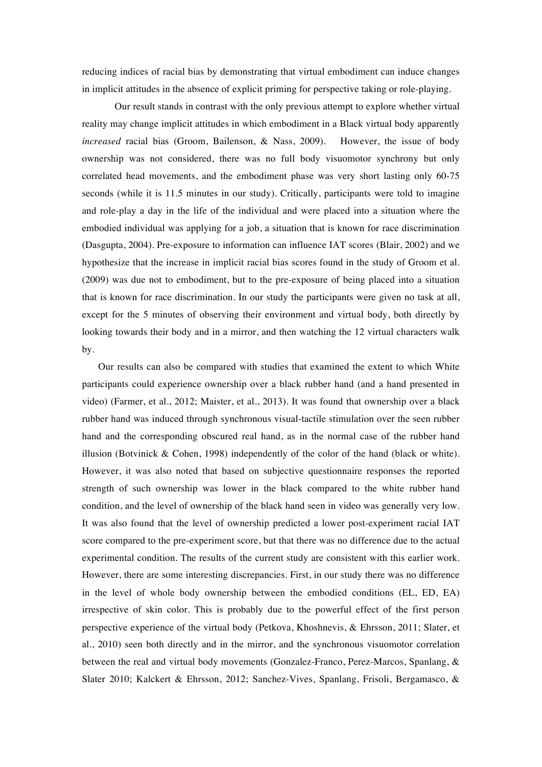reducing indices of racial bias by demonstrating that virtual embodiment can induce changes in implicit attitudes in the absence of explicit priming for perspective taking or role-playing.

Our result stands in contrast with the only previous attempt to explore whether virtual reality may change implicit attitudes in which embodiment in a Black virtual body apparently *increased* racial bias (Groom, Bailenson, & Nass, 2009). However, the issue of body ownership was not considered, there was no full body visuomotor synchrony but only correlated head movements, and the embodiment phase was very short lasting only 60-75 seconds (while it is 11.5 minutes in our study). Critically, participants were told to imagine and role-play a day in the life of the individual and were placed into a situation where the embodied individual was applying for a job, a situation that is known for race discrimination (Dasgupta, 2004). Pre-exposure to information can influence IAT scores (Blair, 2002) and we hypothesize that the increase in implicit racial bias scores found in the study of Groom et al. (2009) was due not to embodiment, but to the pre-exposure of being placed into a situation that is known for race discrimination. In our study the participants were given no task at all, except for the 5 minutes of observing their environment and virtual body, both directly by looking towards their body and in a mirror, and then watching the 12 virtual characters walk by.

Our results can also be compared with studies that examined the extent to which White participants could experience ownership over a black rubber hand (and a hand presented in video) (Farmer, et al., 2012; Maister, et al., 2013). It was found that ownership over a black rubber hand was induced through synchronous visual-tactile stimulation over the seen rubber hand and the corresponding obscured real hand, as in the normal case of the rubber hand illusion (Botvinick  $\&$  Cohen, 1998) independently of the color of the hand (black or white). However, it was also noted that based on subjective questionnaire responses the reported strength of such ownership was lower in the black compared to the white rubber hand condition, and the level of ownership of the black hand seen in video was generally very low. It was also found that the level of ownership predicted a lower post-experiment racial IAT score compared to the pre-experiment score, but that there was no difference due to the actual experimental condition. The results of the current study are consistent with this earlier work*.*  However, there are some interesting discrepancies. First, in our study there was no difference in the level of whole body ownership between the embodied conditions (EL, ED, EA) irrespective of skin color. This is probably due to the powerful effect of the first person perspective experience of the virtual body (Petkova, Khoshnevis, & Ehrsson, 2011; Slater, et al., 2010) seen both directly and in the mirror, and the synchronous visuomotor correlation between the real and virtual body movements (Gonzalez-Franco, Perez-Marcos, Spanlang, & Slater 2010; Kalckert & Ehrsson, 2012; Sanchez-Vives, Spanlang, Frisoli, Bergamasco, &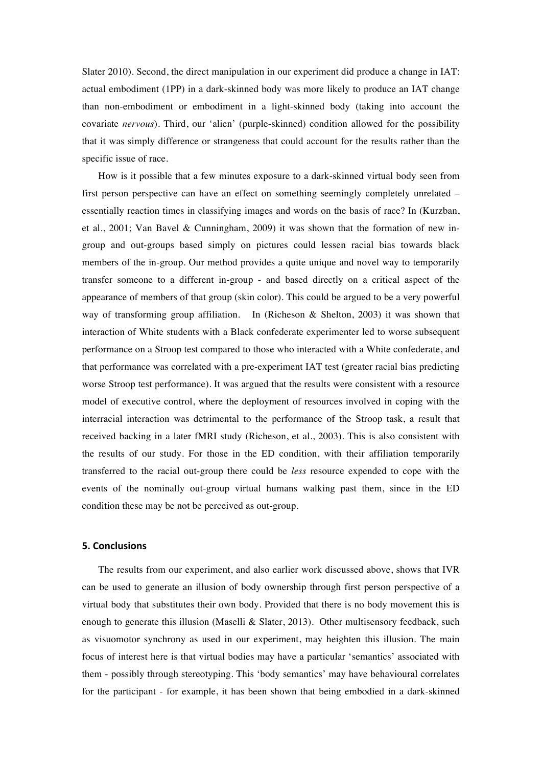Slater 2010). Second, the direct manipulation in our experiment did produce a change in IAT: actual embodiment (1PP) in a dark-skinned body was more likely to produce an IAT change than non-embodiment or embodiment in a light-skinned body (taking into account the covariate *nervous*). Third, our 'alien' (purple-skinned) condition allowed for the possibility that it was simply difference or strangeness that could account for the results rather than the specific issue of race.

How is it possible that a few minutes exposure to a dark-skinned virtual body seen from first person perspective can have an effect on something seemingly completely unrelated – essentially reaction times in classifying images and words on the basis of race? In (Kurzban, et al., 2001; Van Bavel & Cunningham, 2009) it was shown that the formation of new ingroup and out-groups based simply on pictures could lessen racial bias towards black members of the in-group. Our method provides a quite unique and novel way to temporarily transfer someone to a different in-group - and based directly on a critical aspect of the appearance of members of that group (skin color). This could be argued to be a very powerful way of transforming group affiliation. In (Richeson & Shelton, 2003) it was shown that interaction of White students with a Black confederate experimenter led to worse subsequent performance on a Stroop test compared to those who interacted with a White confederate, and that performance was correlated with a pre-experiment IAT test (greater racial bias predicting worse Stroop test performance). It was argued that the results were consistent with a resource model of executive control, where the deployment of resources involved in coping with the interracial interaction was detrimental to the performance of the Stroop task, a result that received backing in a later fMRI study (Richeson, et al., 2003). This is also consistent with the results of our study. For those in the ED condition, with their affiliation temporarily transferred to the racial out-group there could be *less* resource expended to cope with the events of the nominally out-group virtual humans walking past them, since in the ED condition these may be not be perceived as out-group.

# **5. Conclusions**

The results from our experiment, and also earlier work discussed above, shows that IVR can be used to generate an illusion of body ownership through first person perspective of a virtual body that substitutes their own body. Provided that there is no body movement this is enough to generate this illusion (Maselli & Slater, 2013). Other multisensory feedback, such as visuomotor synchrony as used in our experiment, may heighten this illusion. The main focus of interest here is that virtual bodies may have a particular 'semantics' associated with them - possibly through stereotyping. This 'body semantics' may have behavioural correlates for the participant - for example, it has been shown that being embodied in a dark-skinned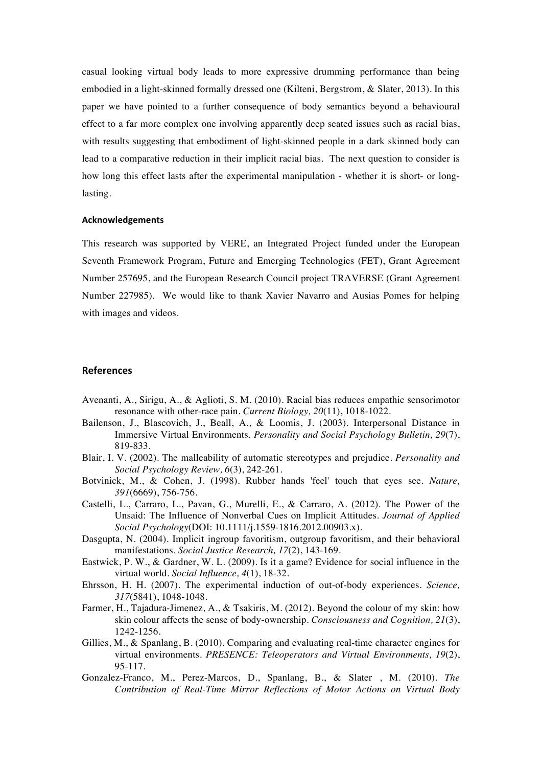casual looking virtual body leads to more expressive drumming performance than being embodied in a light-skinned formally dressed one (Kilteni, Bergstrom, & Slater, 2013). In this paper we have pointed to a further consequence of body semantics beyond a behavioural effect to a far more complex one involving apparently deep seated issues such as racial bias, with results suggesting that embodiment of light-skinned people in a dark skinned body can lead to a comparative reduction in their implicit racial bias. The next question to consider is how long this effect lasts after the experimental manipulation - whether it is short- or longlasting.

#### **Acknowledgements**

This research was supported by VERE, an Integrated Project funded under the European Seventh Framework Program, Future and Emerging Technologies (FET), Grant Agreement Number 257695, and the European Research Council project TRAVERSE (Grant Agreement Number 227985). We would like to thank Xavier Navarro and Ausias Pomes for helping with images and videos.

#### **References**

- Avenanti, A., Sirigu, A., & Aglioti, S. M. (2010). Racial bias reduces empathic sensorimotor resonance with other-race pain. *Current Biology, 20*(11), 1018-1022.
- Bailenson, J., Blascovich, J., Beall, A., & Loomis, J. (2003). Interpersonal Distance in Immersive Virtual Environments. *Personality and Social Psychology Bulletin, 29*(7), 819-833.
- Blair, I. V. (2002). The malleability of automatic stereotypes and prejudice. *Personality and Social Psychology Review, 6*(3), 242-261.
- Botvinick, M., & Cohen, J. (1998). Rubber hands 'feel' touch that eyes see. *Nature, 391*(6669), 756-756.
- Castelli, L., Carraro, L., Pavan, G., Murelli, E., & Carraro, A. (2012). The Power of the Unsaid: The Influence of Nonverbal Cues on Implicit Attitudes. *Journal of Applied Social Psychology*(DOI: 10.1111/j.1559-1816.2012.00903.x).
- Dasgupta, N. (2004). Implicit ingroup favoritism, outgroup favoritism, and their behavioral manifestations. *Social Justice Research, 17*(2), 143-169.
- Eastwick, P. W., & Gardner, W. L. (2009). Is it a game? Evidence for social influence in the virtual world. *Social Influence, 4*(1), 18-32.
- Ehrsson, H. H. (2007). The experimental induction of out-of-body experiences. *Science, 317*(5841), 1048-1048.
- Farmer, H., Tajadura-Jimenez, A., & Tsakiris, M. (2012). Beyond the colour of my skin: how skin colour affects the sense of body-ownership. *Consciousness and Cognition, 21*(3), 1242-1256.
- Gillies, M., & Spanlang, B. (2010). Comparing and evaluating real-time character engines for virtual environments. *PRESENCE: Teleoperators and Virtual Environments, 19*(2), 95-117.
- Gonzalez-Franco, M., Perez-Marcos, D., Spanlang, B., & Slater , M. (2010). *The Contribution of Real-Time Mirror Reflections of Motor Actions on Virtual Body*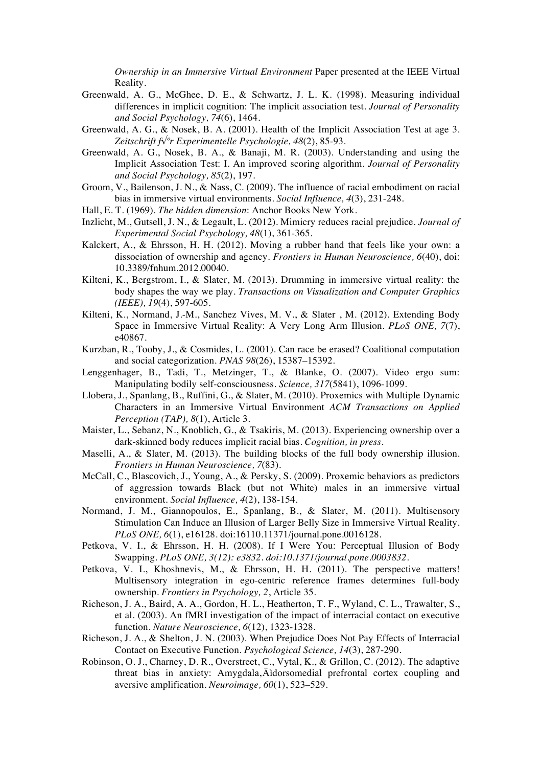*Ownership in an Immersive Virtual Environment* Paper presented at the IEEE Virtual Reality.

- Greenwald, A. G., McGhee, D. E., & Schwartz, J. L. K. (1998). Measuring individual differences in implicit cognition: The implicit association test. *Journal of Personality and Social Psychology, 74*(6), 1464.
- Greenwald, A. G., & Nosek, B. A. (2001). Health of the Implicit Association Test at age 3. *Zeitschrift f√ºr Experimentelle Psychologie, 48*(2), 85-93.
- Greenwald, A. G., Nosek, B. A., & Banaji, M. R. (2003). Understanding and using the Implicit Association Test: I. An improved scoring algorithm. *Journal of Personality and Social Psychology, 85*(2), 197.
- Groom, V., Bailenson, J. N., & Nass, C. (2009). The influence of racial embodiment on racial bias in immersive virtual environments. *Social Influence, 4*(3), 231-248.
- Hall, E. T. (1969). *The hidden dimension*: Anchor Books New York.
- Inzlicht, M., Gutsell, J. N., & Legault, L. (2012). Mimicry reduces racial prejudice. *Journal of Experimental Social Psychology, 48*(1), 361-365.
- Kalckert, A., & Ehrsson, H. H. (2012). Moving a rubber hand that feels like your own: a dissociation of ownership and agency. *Frontiers in Human Neuroscience, 6*(40), doi: 10.3389/fnhum.2012.00040.
- Kilteni, K., Bergstrom, I., & Slater, M. (2013). Drumming in immersive virtual reality: the body shapes the way we play. *Transactions on Visualization and Computer Graphics (IEEE), 19*(4), 597-605.
- Kilteni, K., Normand, J.-M., Sanchez Vives, M. V., & Slater , M. (2012). Extending Body Space in Immersive Virtual Reality: A Very Long Arm Illusion. *PLoS ONE, 7*(7), e40867.
- Kurzban, R., Tooby, J., & Cosmides, L. (2001). Can race be erased? Coalitional computation and social categorization. *PNAS 98*(26), 15387–15392.
- Lenggenhager, B., Tadi, T., Metzinger, T., & Blanke, O. (2007). Video ergo sum: Manipulating bodily self-consciousness. *Science, 317*(5841), 1096-1099.
- Llobera, J., Spanlang, B., Ruffini, G., & Slater, M. (2010). Proxemics with Multiple Dynamic Characters in an Immersive Virtual Environment *ACM Transactions on Applied Perception (TAP), 8*(1), Article 3.
- Maister, L., Sebanz, N., Knoblich, G., & Tsakiris, M. (2013). Experiencing ownership over a dark-skinned body reduces implicit racial bias. *Cognition, in press*.
- Maselli, A., & Slater, M. (2013). The building blocks of the full body ownership illusion. *Frontiers in Human Neuroscience, 7*(83).
- McCall, C., Blascovich, J., Young, A., & Persky, S. (2009). Proxemic behaviors as predictors of aggression towards Black (but not White) males in an immersive virtual environment. *Social Influence, 4*(2), 138-154.
- Normand, J. M., Giannopoulos, E., Spanlang, B., & Slater, M. (2011). Multisensory Stimulation Can Induce an Illusion of Larger Belly Size in Immersive Virtual Reality. *PLoS ONE, 6*(1), e16128. doi:16110.11371/journal.pone.0016128.
- Petkova, V. I., & Ehrsson, H. H. (2008). If I Were You: Perceptual Illusion of Body Swapping. *PLoS ONE, 3(12): e3832. doi:10.1371/journal.pone.0003832*.
- Petkova, V. I., Khoshnevis, M., & Ehrsson, H. H. (2011). The perspective matters! Multisensory integration in ego-centric reference frames determines full-body ownership. *Frontiers in Psychology, 2*, Article 35.
- Richeson, J. A., Baird, A. A., Gordon, H. L., Heatherton, T. F., Wyland, C. L., Trawalter, S., et al. (2003). An fMRI investigation of the impact of interracial contact on executive function. *Nature Neuroscience, 6*(12), 1323-1328.
- Richeson, J. A., & Shelton, J. N. (2003). When Prejudice Does Not Pay Effects of Interracial Contact on Executive Function. *Psychological Science, 14*(3), 287-290.
- Robinson, O. J., Charney, D. R., Overstreet, C., Vytal, K., & Grillon, C. (2012). The adaptive threat bias in anxiety: Amygdala, Äìdorsomedial prefrontal cortex coupling and aversive amplification. *Neuroimage, 60*(1), 523–529.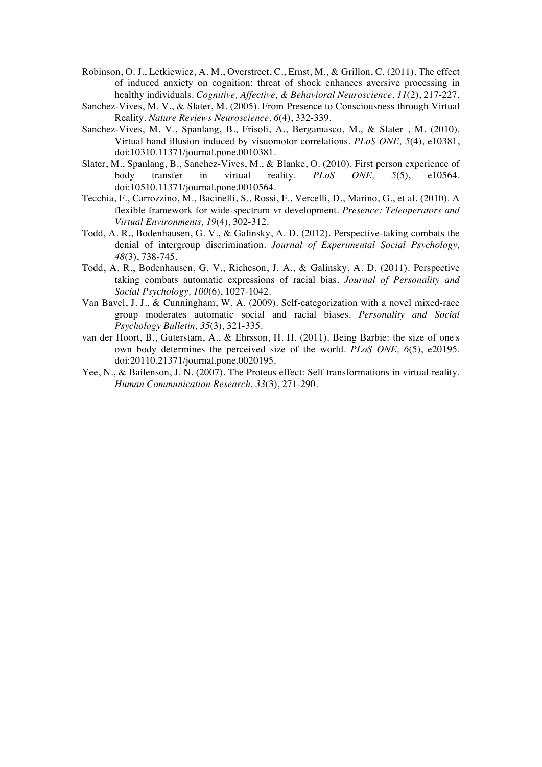- Robinson, O. J., Letkiewicz, A. M., Overstreet, C., Ernst, M., & Grillon, C. (2011). The effect of induced anxiety on cognition: threat of shock enhances aversive processing in healthy individuals. *Cognitive, Affective, & Behavioral Neuroscience, 11*(2), 217-227.
- Sanchez-Vives, M. V., & Slater, M. (2005). From Presence to Consciousness through Virtual Reality. *Nature Reviews Neuroscience, 6*(4), 332-339.
- Sanchez-Vives, M. V., Spanlang, B., Frisoli, A., Bergamasco, M., & Slater , M. (2010). Virtual hand illusion induced by visuomotor correlations. *PLoS ONE, 5*(4), e10381, doi:10310.11371/journal.pone.0010381.
- Slater, M., Spanlang, B., Sanchez-Vives, M., & Blanke, O. (2010). First person experience of body transfer in virtual reality. *PLoS ONE, 5*(5), e10564. doi:10510.11371/journal.pone.0010564.
- Tecchia, F., Carrozzino, M., Bacinelli, S., Rossi, F., Vercelli, D., Marino, G., et al. (2010). A flexible framework for wide-spectrum vr development. *Presence: Teleoperators and Virtual Environments, 19*(4), 302-312.
- Todd, A. R., Bodenhausen, G. V., & Galinsky, A. D. (2012). Perspective-taking combats the denial of intergroup discrimination. *Journal of Experimental Social Psychology, 48*(3), 738-745.
- Todd, A. R., Bodenhausen, G. V., Richeson, J. A., & Galinsky, A. D. (2011). Perspective taking combats automatic expressions of racial bias. *Journal of Personality and Social Psychology, 100*(6), 1027-1042.
- Van Bavel, J. J., & Cunningham, W. A. (2009). Self-categorization with a novel mixed-race group moderates automatic social and racial biases. *Personality and Social Psychology Bulletin, 35*(3), 321-335.
- van der Hoort, B., Guterstam, A., & Ehrsson, H. H. (2011). Being Barbie: the size of one's own body determines the perceived size of the world. *PLoS ONE, 6*(5), e20195. doi:20110.21371/journal.pone.0020195.
- Yee, N., & Bailenson, J. N. (2007). The Proteus effect: Self transformations in virtual reality. *Human Communication Research, 33*(3), 271-290.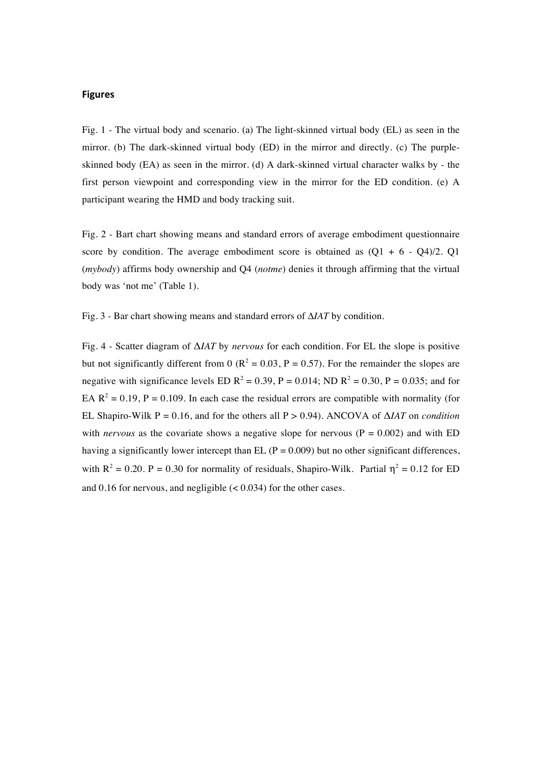## **Figures**

Fig. 1 - The virtual body and scenario. (a) The light-skinned virtual body (EL) as seen in the mirror. (b) The dark-skinned virtual body (ED) in the mirror and directly. (c) The purpleskinned body (EA) as seen in the mirror. (d) A dark-skinned virtual character walks by - the first person viewpoint and corresponding view in the mirror for the ED condition. (e) A participant wearing the HMD and body tracking suit.

Fig. 2 - Bart chart showing means and standard errors of average embodiment questionnaire score by condition. The average embodiment score is obtained as  $(Q1 + 6 - Q4)/2$ . Q1 (*mybody*) affirms body ownership and Q4 (*notme*) denies it through affirming that the virtual body was 'not me' (Table 1).

Fig. 3 - Bar chart showing means and standard errors of Δ*IAT* by condition.

Fig. 4 - Scatter diagram of Δ*IAT* by *nervous* for each condition. For EL the slope is positive but not significantly different from 0 ( $\mathbb{R}^2 = 0.03$ , P = 0.57). For the remainder the slopes are negative with significance levels ED  $R^2 = 0.39$ , P = 0.014; ND  $R^2 = 0.30$ , P = 0.035; and for EA  $\mathbb{R}^2 = 0.19$ , P = 0.109. In each case the residual errors are compatible with normality (for EL Shapiro-Wilk P = 0.16, and for the others all P > 0.94). ANCOVA of Δ*IAT* on *condition* with *nervous* as the covariate shows a negative slope for nervous ( $P = 0.002$ ) and with ED having a significantly lower intercept than EL ( $P = 0.009$ ) but no other significant differences, with  $R^2 = 0.20$ . P = 0.30 for normality of residuals, Shapiro-Wilk. Partial  $\eta^2 = 0.12$  for ED and 0.16 for nervous, and negligible  $(< 0.034)$  for the other cases.